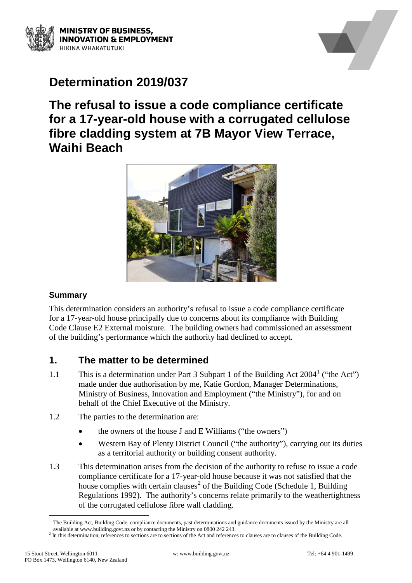



# **Determination 2019/037**

# **The refusal to issue a code compliance certificate for a 17-year-old house with a corrugated cellulose fibre cladding system at 7B Mayor View Terrace, Waihi Beach**



#### **Summary**

This determination considers an authority's refusal to issue a code compliance certificate for a 17-year-old house principally due to concerns about its compliance with Building Code Clause E2 External moisture. The building owners had commissioned an assessment of the building's performance which the authority had declined to accept.

# **1. The matter to be determined**

- [1](#page-0-0).1 This is a determination under Part 3 Subpart 1 of the Building Act  $2004<sup>1</sup>$  ("the Act") made under due authorisation by me, Katie Gordon, Manager Determinations, Ministry of Business, Innovation and Employment ("the Ministry"), for and on behalf of the Chief Executive of the Ministry.
- 1.2 The parties to the determination are:
	- the owners of the house J and E Williams ("the owners")
	- Western Bay of Plenty District Council ("the authority"), carrying out its duties as a territorial authority or building consent authority.
- 1.3 This determination arises from the decision of the authority to refuse to issue a code compliance certificate for a 17-year-old house because it was not satisfied that the house complies with certain clauses<sup>[2](#page-0-1)</sup> of the Building Code (Schedule 1, Building Regulations 1992). The authority's concerns relate primarily to the weathertightness of the corrugated cellulose fibre wall cladding.

<span id="page-0-0"></span> <sup>1</sup> The Building Act, Building Code, compliance documents, past determinations and guidance documents issued by the Ministry are all available at www.building.govt.nz or by contacting the Ministry on 0800 242 243.

<span id="page-0-1"></span><sup>&</sup>lt;sup>2</sup> In this determination, references to sections are to sections of the Act and references to clauses are to clauses of the Building Code.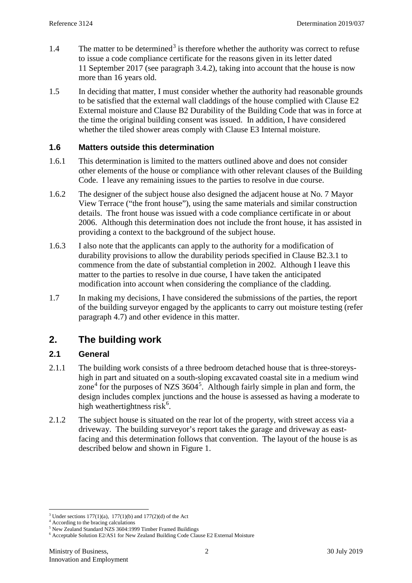- 1.4 The matter to be determined<sup>[3](#page-1-0)</sup> is therefore whether the authority was correct to refuse to issue a code compliance certificate for the reasons given in its letter dated 11 September 2017 (see paragraph [3.4.2\)](#page-4-0), taking into account that the house is now more than 16 years old.
- 1.5 In deciding that matter, I must consider whether the authority had reasonable grounds to be satisfied that the external wall claddings of the house complied with Clause E2 External moisture and Clause B2 Durability of the Building Code that was in force at the time the original building consent was issued. In addition, I have considered whether the tiled shower areas comply with Clause E3 Internal moisture.

#### **1.6 Matters outside this determination**

- 1.6.1 This determination is limited to the matters outlined above and does not consider other elements of the house or compliance with other relevant clauses of the Building Code. I leave any remaining issues to the parties to resolve in due course.
- 1.6.2 The designer of the subject house also designed the adjacent house at No. 7 Mayor View Terrace ("the front house"), using the same materials and similar construction details. The front house was issued with a code compliance certificate in or about 2006. Although this determination does not include the front house, it has assisted in providing a context to the background of the subject house.
- <span id="page-1-4"></span>1.6.3 I also note that the applicants can apply to the authority for a modification of durability provisions to allow the durability periods specified in Clause B2.3.1 to commence from the date of substantial completion in 2002. Although I leave this matter to the parties to resolve in due course, I have taken the anticipated modification into account when considering the compliance of the cladding.
- 1.7 In making my decisions, I have considered the submissions of the parties, the report of the building surveyor engaged by the applicants to carry out moisture testing (refer paragraph [4.7\)](#page-6-0) and other evidence in this matter.

# **2. The building work**

#### **2.1 General**

- 2.1.1 The building work consists of a three bedroom detached house that is three-storeyshigh in part and situated on a south-sloping excavated coastal site in a medium wind zone<sup>[4](#page-1-1)</sup> for the purposes of NZS  $3604^5$  $3604^5$ . Although fairly simple in plan and form, the design includes complex junctions and the house is assessed as having a moderate to high weathertightness risk<sup>[6](#page-1-3)</sup>.
- 2.1.2 The subject house is situated on the rear lot of the property, with street access via a driveway. The building surveyor's report takes the garage and driveway as eastfacing and this determination follows that convention. The layout of the house is as described below and shown in Figure 1.

<span id="page-1-0"></span><sup>&</sup>lt;sup>3</sup> Under sections 177(1)(a), 177(1)(b) and 177(2)(d) of the Act  $4$  According to the bracing calculations<br><sup>5</sup> New Zealand Standard NZS 3604:1999 Timber Framed Buildings

<span id="page-1-3"></span><span id="page-1-2"></span><span id="page-1-1"></span>

 $6$  Acceptable Solution E2/AS1 for New Zealand Building Code Clause E2 External Moisture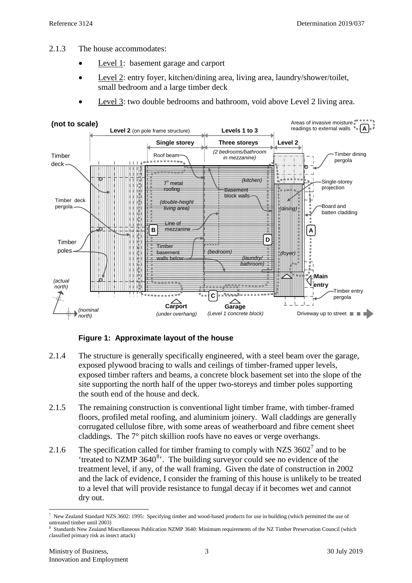- 2.1.3 The house accommodates:
	- Level 1: basement garage and carport
	- Level 2: entry foyer, kitchen/dining area, living area, laundry/shower/toilet, small bedroom and a large timber deck
	- Level 3: two double bedrooms and bathroom, void above Level 2 living area.



**Figure 1: Approximate layout of the house**

- 2.1.4 The structure is generally specifically engineered, with a steel beam over the garage, exposed plywood bracing to walls and ceilings of timber-framed upper levels, exposed timber rafters and beams, a concrete block basement set into the slope of the site supporting the north half of the upper two-storeys and timber poles supporting the south end of the house and deck.
- 2.1.5 The remaining construction is conventional light timber frame, with timber-framed floors, profiled metal roofing, and aluminium joinery. Wall claddings are generally corrugated cellulose fibre, with some areas of weatherboard and fibre cement sheet claddings. The 7° pitch skillion roofs have no eaves or verge overhangs.
- 2.1.6 The specification called for timber framing to comply with NZS  $3602^7$  $3602^7$  and to be 'treated to NZMP 3640<sup>[8](#page-2-1)</sup>'. The building surveyor could see no evidence of the treatment level, if any, of the wall framing. Given the date of construction in 2002 and the lack of evidence, I consider the framing of this house is unlikely to be treated to a level that will provide resistance to fungal decay if it becomes wet and cannot dry out.

<span id="page-2-0"></span> <sup>7</sup> New Zealand Standard NZS 3602: 1995: Specifying timber and wood-based products for use in building (which permitted the use of untreated timber until 2003)

<span id="page-2-1"></span><sup>8</sup> Standards New Zealand Miscellaneous Publication NZMP 3640: Minimum requirements of the NZ Timber Preservation Council (which classified primary risk as insect attack)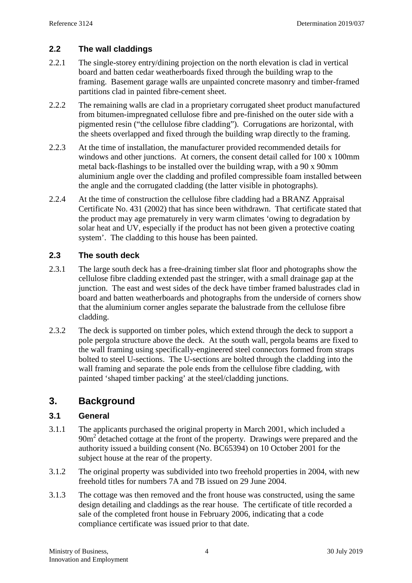## **2.2 The wall claddings**

- 2.2.1 The single-storey entry/dining projection on the north elevation is clad in vertical board and batten cedar weatherboards fixed through the building wrap to the framing. Basement garage walls are unpainted concrete masonry and timber-framed partitions clad in painted fibre-cement sheet.
- 2.2.2 The remaining walls are clad in a proprietary corrugated sheet product manufactured from bitumen-impregnated cellulose fibre and pre-finished on the outer side with a pigmented resin ("the cellulose fibre cladding"). Corrugations are horizontal, with the sheets overlapped and fixed through the building wrap directly to the framing.
- 2.2.3 At the time of installation, the manufacturer provided recommended details for windows and other junctions. At corners, the consent detail called for 100 x 100mm metal back-flashings to be installed over the building wrap, with a 90 x 90mm aluminium angle over the cladding and profiled compressible foam installed between the angle and the corrugated cladding (the latter visible in photographs).
- 2.2.4 At the time of construction the cellulose fibre cladding had a BRANZ Appraisal Certificate No. 431 (2002) that has since been withdrawn. That certificate stated that the product may age prematurely in very warm climates 'owing to degradation by solar heat and UV, especially if the product has not been given a protective coating system'. The cladding to this house has been painted.

#### **2.3 The south deck**

- 2.3.1 The large south deck has a free-draining timber slat floor and photographs show the cellulose fibre cladding extended past the stringer, with a small drainage gap at the junction. The east and west sides of the deck have timber framed balustrades clad in board and batten weatherboards and photographs from the underside of corners show that the aluminium corner angles separate the balustrade from the cellulose fibre cladding.
- 2.3.2 The deck is supported on timber poles, which extend through the deck to support a pole pergola structure above the deck. At the south wall, pergola beams are fixed to the wall framing using specifically-engineered steel connectors formed from straps bolted to steel U-sections. The U-sections are bolted through the cladding into the wall framing and separate the pole ends from the cellulose fibre cladding, with painted 'shaped timber packing' at the steel/cladding junctions.

# **3. Background**

#### **3.1 General**

- 3.1.1 The applicants purchased the original property in March 2001, which included a 90m<sup>2</sup> detached cottage at the front of the property. Drawings were prepared and the authority issued a building consent (No. BC65394) on 10 October 2001 for the subject house at the rear of the property.
- 3.1.2 The original property was subdivided into two freehold properties in 2004, with new freehold titles for numbers 7A and 7B issued on 29 June 2004.
- 3.1.3 The cottage was then removed and the front house was constructed, using the same design detailing and claddings as the rear house. The certificate of title recorded a sale of the completed front house in February 2006, indicating that a code compliance certificate was issued prior to that date.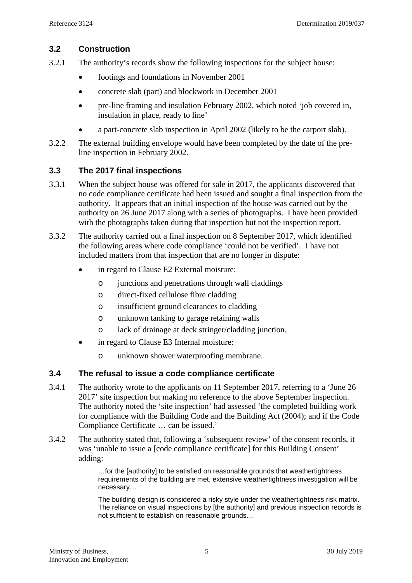## **3.2 Construction**

- 3.2.1 The authority's records show the following inspections for the subject house:
	- footings and foundations in November 2001
	- concrete slab (part) and blockwork in December 2001
	- pre-line framing and insulation February 2002, which noted 'job covered in, insulation in place, ready to line'
	- a part-concrete slab inspection in April 2002 (likely to be the carport slab).
- 3.2.2 The external building envelope would have been completed by the date of the preline inspection in February 2002.

#### **3.3 The 2017 final inspections**

- 3.3.1 When the subject house was offered for sale in 2017, the applicants discovered that no code compliance certificate had been issued and sought a final inspection from the authority. It appears that an initial inspection of the house was carried out by the authority on 26 June 2017 along with a series of photographs. I have been provided with the photographs taken during that inspection but not the inspection report.
- 3.3.2 The authority carried out a final inspection on 8 September 2017, which identified the following areas where code compliance 'could not be verified'. I have not included matters from that inspection that are no longer in dispute:
	- in regard to Clause E2 External moisture:
		- o junctions and penetrations through wall claddings
		- o direct-fixed cellulose fibre cladding
		- o insufficient ground clearances to cladding
		- o unknown tanking to garage retaining walls
		- o lack of drainage at deck stringer/cladding junction.
	- in regard to Clause E3 Internal moisture:
		- o unknown shower waterproofing membrane.

#### **3.4 The refusal to issue a code compliance certificate**

- 3.4.1 The authority wrote to the applicants on 11 September 2017, referring to a 'June 26 2017' site inspection but making no reference to the above September inspection. The authority noted the 'site inspection' had assessed 'the completed building work for compliance with the Building Code and the Building Act (2004); and if the Code Compliance Certificate … can be issued.'
- <span id="page-4-0"></span>3.4.2 The authority stated that, following a 'subsequent review' of the consent records, it was 'unable to issue a [code compliance certificate] for this Building Consent' adding:

…for the [authority] to be satisfied on reasonable grounds that weathertightness requirements of the building are met, extensive weathertightness investigation will be necessary…

The building design is considered a risky style under the weathertightness risk matrix. The reliance on visual inspections by [the authority] and previous inspection records is not sufficient to establish on reasonable grounds…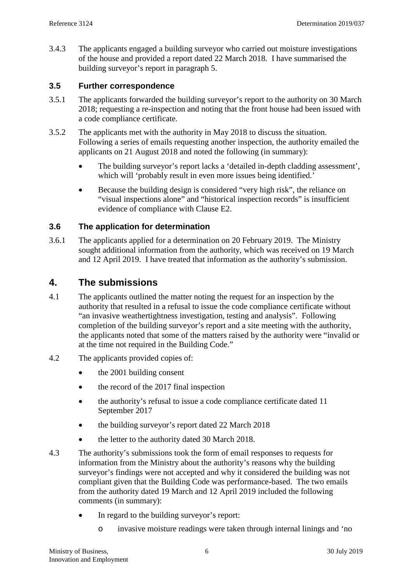<span id="page-5-0"></span>3.4.3 The applicants engaged a building surveyor who carried out moisture investigations of the house and provided a report dated 22 March 2018. I have summarised the building surveyor's report in paragraph [5.](#page-6-1)

#### **3.5 Further correspondence**

- 3.5.1 The applicants forwarded the building surveyor's report to the authority on 30 March 2018; requesting a re-inspection and noting that the front house had been issued with a code compliance certificate.
- 3.5.2 The applicants met with the authority in May 2018 to discuss the situation. Following a series of emails requesting another inspection, the authority emailed the applicants on 21 August 2018 and noted the following (in summary):
	- The building surveyor's report lacks a 'detailed in-depth cladding assessment', which will 'probably result in even more issues being identified.'
	- Because the building design is considered "very high risk", the reliance on "visual inspections alone" and "historical inspection records" is insufficient evidence of compliance with Clause E2.

#### **3.6 The application for determination**

3.6.1 The applicants applied for a determination on 20 February 2019. The Ministry sought additional information from the authority, which was received on 19 March and 12 April 2019. I have treated that information as the authority's submission.

# **4. The submissions**

- 4.1 The applicants outlined the matter noting the request for an inspection by the authority that resulted in a refusal to issue the code compliance certificate without "an invasive weathertightness investigation, testing and analysis". Following completion of the building surveyor's report and a site meeting with the authority, the applicants noted that some of the matters raised by the authority were "invalid or at the time not required in the Building Code."
- 4.2 The applicants provided copies of:
	- the 2001 building consent
	- the record of the 2017 final inspection
	- the authority's refusal to issue a code compliance certificate dated 11 September 2017
	- the building survey or's report dated 22 March 2018
	- the letter to the authority dated 30 March 2018.
- 4.3 The authority's submissions took the form of email responses to requests for information from the Ministry about the authority's reasons why the building surveyor's findings were not accepted and why it considered the building was not compliant given that the Building Code was performance-based. The two emails from the authority dated 19 March and 12 April 2019 included the following comments (in summary):
	- In regard to the building survey or's report:
		- o invasive moisture readings were taken through internal linings and 'no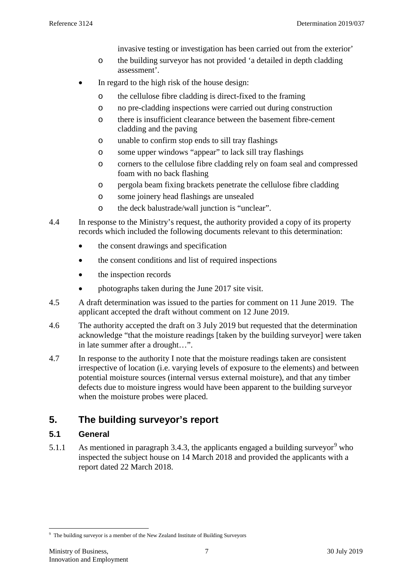invasive testing or investigation has been carried out from the exterior'

- o the building surveyor has not provided 'a detailed in depth cladding assessment'.
- In regard to the high risk of the house design:
	- o the cellulose fibre cladding is direct-fixed to the framing
	- o no pre-cladding inspections were carried out during construction
	- o there is insufficient clearance between the basement fibre-cement cladding and the paving
	- o unable to confirm stop ends to sill tray flashings
	- o some upper windows "appear" to lack sill tray flashings
	- o corners to the cellulose fibre cladding rely on foam seal and compressed foam with no back flashing
	- o pergola beam fixing brackets penetrate the cellulose fibre cladding
	- o some joinery head flashings are unsealed
	- o the deck balustrade/wall junction is "unclear".
- 4.4 In response to the Ministry's request, the authority provided a copy of its property records which included the following documents relevant to this determination:
	- the consent drawings and specification
	- the consent conditions and list of required inspections
	- the inspection records
	- photographs taken during the June 2017 site visit.
- 4.5 A draft determination was issued to the parties for comment on 11 June 2019. The applicant accepted the draft without comment on 12 June 2019.
- 4.6 The authority accepted the draft on 3 July 2019 but requested that the determination acknowledge "that the moisture readings [taken by the building surveyor] were taken in late summer after a drought…".
- 4.7 In response to the authority I note that the moisture readings taken are consistent irrespective of location (i.e. varying levels of exposure to the elements) and between potential moisture sources (internal versus external moisture), and that any timber defects due to moisture ingress would have been apparent to the building surveyor when the moisture probes were placed.

# <span id="page-6-1"></span><span id="page-6-0"></span>**5. The building surveyor's report**

#### **5.1 General**

5.1.1 As mentioned in paragraph [3.4.3,](#page-5-0) the applicants engaged a building surveyor<sup>[9](#page-6-2)</sup> who inspected the subject house on 14 March 2018 and provided the applicants with a report dated 22 March 2018.

<span id="page-6-2"></span><sup>-&</sup>lt;br>9 The building surveyor is a member of the New Zealand Institute of Building Surveyors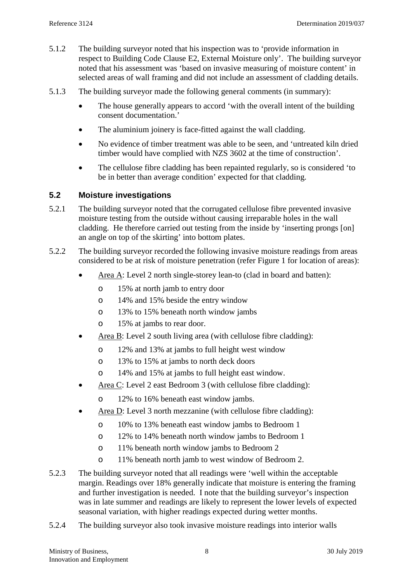- 5.1.2 The building surveyor noted that his inspection was to 'provide information in respect to Building Code Clause E2, External Moisture only'. The building surveyor noted that his assessment was 'based on invasive measuring of moisture content' in selected areas of wall framing and did not include an assessment of cladding details.
- 5.1.3 The building surveyor made the following general comments (in summary):
	- The house generally appears to accord 'with the overall intent of the building consent documentation.'
	- The aluminium joinery is face-fitted against the wall cladding.
	- No evidence of timber treatment was able to be seen, and 'untreated kiln dried timber would have complied with NZS 3602 at the time of construction'.
	- The cellulose fibre cladding has been repainted regularly, so is considered 'to be in better than average condition' expected for that cladding.

#### **5.2 Moisture investigations**

- 5.2.1 The building surveyor noted that the corrugated cellulose fibre prevented invasive moisture testing from the outside without causing irreparable holes in the wall cladding. He therefore carried out testing from the inside by 'inserting prongs [on] an angle on top of the skirting' into bottom plates.
- 5.2.2 The building surveyor recorded the following invasive moisture readings from areas considered to be at risk of moisture penetration (refer Figure 1 for location of areas):
	- Area A: Level 2 north single-storey lean-to (clad in board and batten):
		- o 15% at north jamb to entry door
		- o 14% and 15% beside the entry window
		- o 13% to 15% beneath north window jambs
		- o 15% at jambs to rear door.
	- Area B: Level 2 south living area (with cellulose fibre cladding):
		- o 12% and 13% at jambs to full height west window
		- o 13% to 15% at jambs to north deck doors
		- o 14% and 15% at jambs to full height east window.
	- Area C: Level 2 east Bedroom 3 (with cellulose fibre cladding):
		- o 12% to 16% beneath east window jambs.
	- Area D: Level 3 north mezzanine (with cellulose fibre cladding):
		- o 10% to 13% beneath east window jambs to Bedroom 1
		- o 12% to 14% beneath north window jambs to Bedroom 1
		- o 11% beneath north window jambs to Bedroom 2
		- o 11% beneath north jamb to west window of Bedroom 2.
- 5.2.3 The building surveyor noted that all readings were 'well within the acceptable margin. Readings over 18% generally indicate that moisture is entering the framing and further investigation is needed. I note that the building surveyor's inspection was in late summer and readings are likely to represent the lower levels of expected seasonal variation, with higher readings expected during wetter months.
- <span id="page-7-0"></span>5.2.4 The building surveyor also took invasive moisture readings into interior walls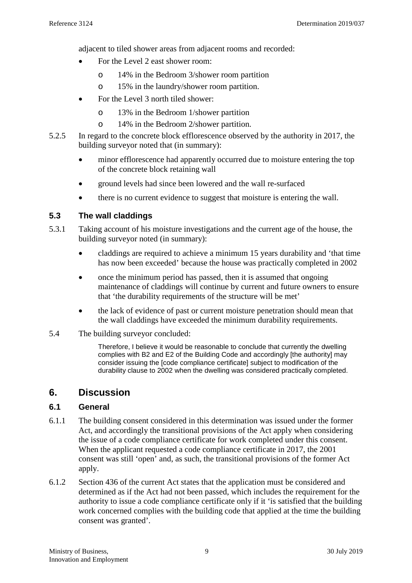adjacent to tiled shower areas from adjacent rooms and recorded:

- For the Level 2 east shower room:
	- o 14% in the Bedroom 3/shower room partition
	- o 15% in the laundry/shower room partition.
- For the Level 3 north tiled shower:
	- o 13% in the Bedroom 1/shower partition
	- o 14% in the Bedroom 2/shower partition.
- 5.2.5 In regard to the concrete block efflorescence observed by the authority in 2017, the building surveyor noted that (in summary):
	- minor efflorescence had apparently occurred due to moisture entering the top of the concrete block retaining wall
	- ground levels had since been lowered and the wall re-surfaced
	- there is no current evidence to suggest that moisture is entering the wall.

#### **5.3 The wall claddings**

- 5.3.1 Taking account of his moisture investigations and the current age of the house, the building surveyor noted (in summary):
	- claddings are required to achieve a minimum 15 years durability and 'that time has now been exceeded' because the house was practically completed in 2002
	- once the minimum period has passed, then it is assumed that ongoing maintenance of claddings will continue by current and future owners to ensure that 'the durability requirements of the structure will be met'
	- the lack of evidence of past or current moisture penetration should mean that the wall claddings have exceeded the minimum durability requirements.
- 5.4 The building surveyor concluded:

Therefore, I believe it would be reasonable to conclude that currently the dwelling complies with B2 and E2 of the Building Code and accordingly [the authority] may consider issuing the [code compliance certificate] subject to modification of the durability clause to 2002 when the dwelling was considered practically completed.

# **6. Discussion**

#### **6.1 General**

- 6.1.1 The building consent considered in this determination was issued under the former Act, and accordingly the transitional provisions of the Act apply when considering the issue of a code compliance certificate for work completed under this consent. When the applicant requested a code compliance certificate in 2017, the 2001 consent was still 'open' and, as such, the transitional provisions of the former Act apply.
- 6.1.2 Section 436 of the current Act states that the application must be considered and determined as if the Act had not been passed, which includes the requirement for the authority to issue a code compliance certificate only if it 'is satisfied that the building work concerned complies with the building code that applied at the time the building consent was granted'.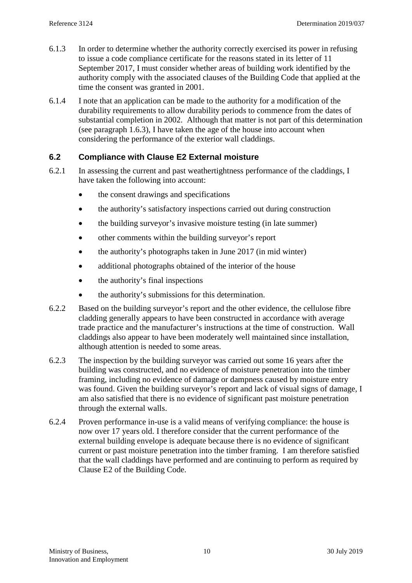- 6.1.3 In order to determine whether the authority correctly exercised its power in refusing to issue a code compliance certificate for the reasons stated in its letter of 11 September 2017, I must consider whether areas of building work identified by the authority comply with the associated clauses of the Building Code that applied at the time the consent was granted in 2001.
- 6.1.4 I note that an application can be made to the authority for a modification of the durability requirements to allow durability periods to commence from the dates of substantial completion in 2002. Although that matter is not part of this determination (see paragraph [1.6.3\)](#page-1-4), I have taken the age of the house into account when considering the performance of the exterior wall claddings.

## **6.2 Compliance with Clause E2 External moisture**

- 6.2.1 In assessing the current and past weathertightness performance of the claddings, I have taken the following into account:
	- the consent drawings and specifications
	- the authority's satisfactory inspections carried out during construction
	- the building survey or's invasive moisture testing (in late summer)
	- other comments within the building surveyor's report
	- the authority's photographs taken in June 2017 (in mid winter)
	- additional photographs obtained of the interior of the house
	- the authority's final inspections
	- the authority's submissions for this determination.
- 6.2.2 Based on the building surveyor's report and the other evidence, the cellulose fibre cladding generally appears to have been constructed in accordance with average trade practice and the manufacturer's instructions at the time of construction. Wall claddings also appear to have been moderately well maintained since installation, although attention is needed to some areas.
- 6.2.3 The inspection by the building surveyor was carried out some 16 years after the building was constructed, and no evidence of moisture penetration into the timber framing, including no evidence of damage or dampness caused by moisture entry was found. Given the building surveyor's report and lack of visual signs of damage, I am also satisfied that there is no evidence of significant past moisture penetration through the external walls.
- 6.2.4 Proven performance in-use is a valid means of verifying compliance: the house is now over 17 years old. I therefore consider that the current performance of the external building envelope is adequate because there is no evidence of significant current or past moisture penetration into the timber framing. I am therefore satisfied that the wall claddings have performed and are continuing to perform as required by Clause E2 of the Building Code.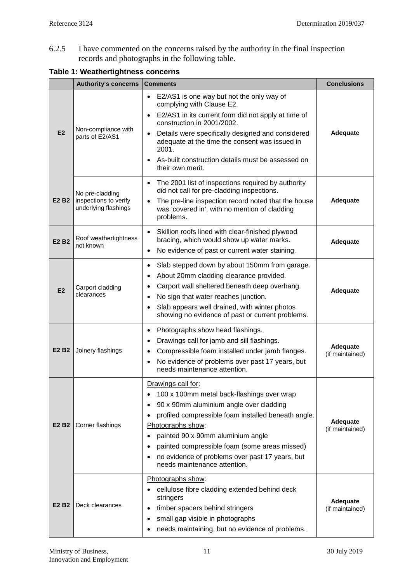6.2.5 I have commented on the concerns raised by the authority in the final inspection records and photographs in the following table.

|                               | <b>Authority's concerns</b>                                      | <b>Comments</b>                                                                                                                                                                                                                                                                                                                                                                             | <b>Conclusions</b>          |
|-------------------------------|------------------------------------------------------------------|---------------------------------------------------------------------------------------------------------------------------------------------------------------------------------------------------------------------------------------------------------------------------------------------------------------------------------------------------------------------------------------------|-----------------------------|
| E <sub>2</sub>                | Non-compliance with<br>parts of E2/AS1                           | E2/AS1 is one way but not the only way of<br>$\bullet$<br>complying with Clause E2.<br>E2/AS1 in its current form did not apply at time of<br>$\bullet$<br>construction in 2001/2002.<br>Details were specifically designed and considered<br>$\bullet$<br>adequate at the time the consent was issued in<br>2001.<br>As-built construction details must be assessed on<br>their own merit. | Adequate                    |
| E <sub>2</sub> B <sub>2</sub> | No pre-cladding<br>inspections to verify<br>underlying flashings | The 2001 list of inspections required by authority<br>$\bullet$<br>did not call for pre-cladding inspections.<br>The pre-line inspection record noted that the house<br>$\bullet$<br>was 'covered in', with no mention of cladding<br>problems.                                                                                                                                             | Adequate                    |
| E <sub>2</sub> B <sub>2</sub> | Roof weathertightness<br>not known                               | Skillion roofs lined with clear-finished plywood<br>$\bullet$<br>bracing, which would show up water marks.<br>No evidence of past or current water staining.<br>$\bullet$                                                                                                                                                                                                                   | Adequate                    |
| E2                            | Carport cladding<br>clearances                                   | Slab stepped down by about 150mm from garage.<br>$\bullet$<br>About 20mm cladding clearance provided.<br>Carport wall sheltered beneath deep overhang.<br>No sign that water reaches junction.<br>Slab appears well drained, with winter photos<br>$\bullet$<br>showing no evidence of past or current problems.                                                                            | Adequate                    |
| E <sub>2</sub> B <sub>2</sub> | Joinery flashings                                                | Photographs show head flashings.<br>$\bullet$<br>Drawings call for jamb and sill flashings.<br>Compressible foam installed under jamb flanges.<br>No evidence of problems over past 17 years, but<br>$\bullet$<br>needs maintenance attention.                                                                                                                                              | Adequate<br>(if maintained) |
| E <sub>2</sub> B <sub>2</sub> | Corner flashings                                                 | Drawings call for:<br>100 x 100mm metal back-flashings over wrap<br>90 x 90mm aluminium angle over cladding<br>profiled compressible foam installed beneath angle.<br>Photographs show:<br>painted 90 x 90mm aluminium angle<br>$\bullet$<br>painted compressible foam (some areas missed)<br>no evidence of problems over past 17 years, but<br>needs maintenance attention.               | Adequate<br>(if maintained) |
| E <sub>2</sub> B <sub>2</sub> | Deck clearances                                                  | Photographs show:<br>cellulose fibre cladding extended behind deck<br>$\bullet$<br>stringers<br>timber spacers behind stringers<br>٠<br>small gap visible in photographs<br>٠<br>needs maintaining, but no evidence of problems.                                                                                                                                                            | Adequate<br>(if maintained) |

### **Table 1: Weathertightness concerns**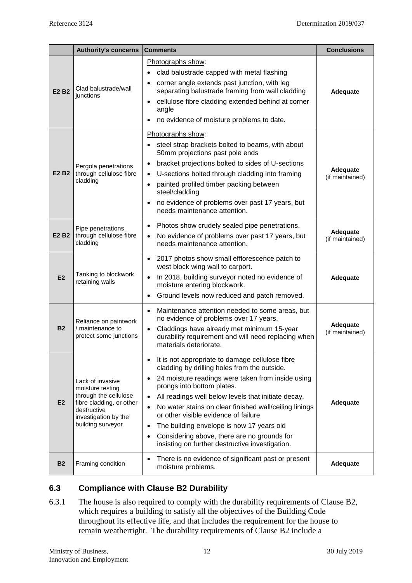|                               | <b>Authority's concerns</b>                                                                                                                           | <b>Comments</b>                                                                                                                                                                                                                                                                                                                                                                                                                                                                                                                                             | <b>Conclusions</b>          |
|-------------------------------|-------------------------------------------------------------------------------------------------------------------------------------------------------|-------------------------------------------------------------------------------------------------------------------------------------------------------------------------------------------------------------------------------------------------------------------------------------------------------------------------------------------------------------------------------------------------------------------------------------------------------------------------------------------------------------------------------------------------------------|-----------------------------|
| E <sub>2</sub> B <sub>2</sub> | Clad balustrade/wall<br>junctions                                                                                                                     | Photographs show:<br>clad balustrade capped with metal flashing<br>corner angle extends past junction, with leg<br>$\bullet$<br>separating balustrade framing from wall cladding<br>cellulose fibre cladding extended behind at corner<br>$\bullet$<br>angle<br>no evidence of moisture problems to date.                                                                                                                                                                                                                                                   | Adequate                    |
| E <sub>2</sub> B <sub>2</sub> | Pergola penetrations<br>through cellulose fibre<br>cladding                                                                                           | Photographs show:<br>steel strap brackets bolted to beams, with about<br>50mm projections past pole ends<br>bracket projections bolted to sides of U-sections<br>$\bullet$<br>U-sections bolted through cladding into framing<br>$\bullet$<br>painted profiled timber packing between<br>$\bullet$<br>steel/cladding<br>no evidence of problems over past 17 years, but<br>needs maintenance attention.                                                                                                                                                     | Adequate<br>(if maintained) |
| E <sub>2</sub> B <sub>2</sub> | Pipe penetrations<br>through cellulose fibre<br>cladding                                                                                              | Photos show crudely sealed pipe penetrations.<br>$\bullet$<br>No evidence of problems over past 17 years, but<br>needs maintenance attention.                                                                                                                                                                                                                                                                                                                                                                                                               | Adequate<br>(if maintained) |
| E2                            | Tanking to blockwork<br>retaining walls                                                                                                               | 2017 photos show small efflorescence patch to<br>$\bullet$<br>west block wing wall to carport.<br>In 2018, building surveyor noted no evidence of<br>moisture entering blockwork.<br>Ground levels now reduced and patch removed.<br>$\bullet$                                                                                                                                                                                                                                                                                                              | Adequate                    |
| <b>B2</b>                     | Reliance on paintwork<br>/ maintenance to<br>protect some junctions                                                                                   | Maintenance attention needed to some areas, but<br>$\bullet$<br>no evidence of problems over 17 years.<br>Claddings have already met minimum 15-year<br>$\bullet$<br>durability requirement and will need replacing when<br>materials deteriorate.                                                                                                                                                                                                                                                                                                          | Adequate<br>(if maintained) |
| E <sub>2</sub>                | Lack of invasive<br>moisture testing<br>through the cellulose<br>fibre cladding, or other<br>destructive<br>investigation by the<br>building surveyor | It is not appropriate to damage cellulose fibre<br>$\bullet$<br>cladding by drilling holes from the outside.<br>24 moisture readings were taken from inside using<br>$\bullet$<br>prongs into bottom plates.<br>All readings well below levels that initiate decay.<br>No water stains on clear finished wall/ceiling linings<br>$\bullet$<br>or other visible evidence of failure<br>The building envelope is now 17 years old<br>$\bullet$<br>Considering above, there are no grounds for<br>$\bullet$<br>insisting on further destructive investigation. | Adequate                    |
| <b>B2</b>                     | Framing condition                                                                                                                                     | There is no evidence of significant past or present<br>$\bullet$<br>moisture problems.                                                                                                                                                                                                                                                                                                                                                                                                                                                                      | Adequate                    |

# **6.3 Compliance with Clause B2 Durability**

6.3.1 The house is also required to comply with the durability requirements of Clause B2, which requires a building to satisfy all the objectives of the Building Code throughout its effective life, and that includes the requirement for the house to remain weathertight. The durability requirements of Clause B2 include a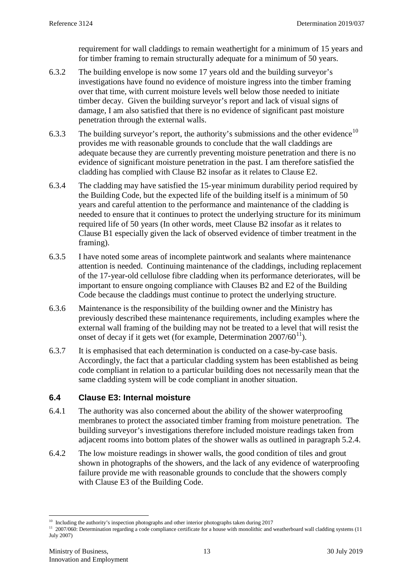requirement for wall claddings to remain weathertight for a minimum of 15 years and for timber framing to remain structurally adequate for a minimum of 50 years.

- 6.3.2 The building envelope is now some 17 years old and the building surveyor's investigations have found no evidence of moisture ingress into the timber framing over that time, with current moisture levels well below those needed to initiate timber decay. Given the building surveyor's report and lack of visual signs of damage, I am also satisfied that there is no evidence of significant past moisture penetration through the external walls.
- 6.3.3 The building surveyor's report, the authority's submissions and the other evidence<sup>[10](#page-12-0)</sup> provides me with reasonable grounds to conclude that the wall claddings are adequate because they are currently preventing moisture penetration and there is no evidence of significant moisture penetration in the past. I am therefore satisfied the cladding has complied with Clause B2 insofar as it relates to Clause E2.
- 6.3.4 The cladding may have satisfied the 15-year minimum durability period required by the Building Code, but the expected life of the building itself is a minimum of 50 years and careful attention to the performance and maintenance of the cladding is needed to ensure that it continues to protect the underlying structure for its minimum required life of 50 years (In other words, meet Clause B2 insofar as it relates to Clause B1 especially given the lack of observed evidence of timber treatment in the framing).
- 6.3.5 I have noted some areas of incomplete paintwork and sealants where maintenance attention is needed. Continuing maintenance of the claddings, including replacement of the 17-year-old cellulose fibre cladding when its performance deteriorates, will be important to ensure ongoing compliance with Clauses B2 and E2 of the Building Code because the claddings must continue to protect the underlying structure.
- 6.3.6 Maintenance is the responsibility of the building owner and the Ministry has previously described these maintenance requirements, including examples where the external wall framing of the building may not be treated to a level that will resist the onset of decay if it gets wet (for example, Determination  $2007/60^{11}$  $2007/60^{11}$  $2007/60^{11}$ ).
- 6.3.7 It is emphasised that each determination is conducted on a case-by-case basis. Accordingly, the fact that a particular cladding system has been established as being code compliant in relation to a particular building does not necessarily mean that the same cladding system will be code compliant in another situation.

#### **6.4 Clause E3: Internal moisture**

- 6.4.1 The authority was also concerned about the ability of the shower waterproofing membranes to protect the associated timber framing from moisture penetration. The building surveyor's investigations therefore included moisture readings taken from adjacent rooms into bottom plates of the shower walls as outlined in paragraph [5.2.4.](#page-7-0)
- 6.4.2 The low moisture readings in shower walls, the good condition of tiles and grout shown in photographs of the showers, and the lack of any evidence of waterproofing failure provide me with reasonable grounds to conclude that the showers comply with Clause E3 of the Building Code.

 $10$  Including the authority's inspection photographs and other interior photographs taken during 2017

<span id="page-12-1"></span><span id="page-12-0"></span><sup>&</sup>lt;sup>11</sup> 2007/060: Determination regarding a code compliance certificate for a house with monolithic and weatherboard wall cladding systems (11 July 2007)